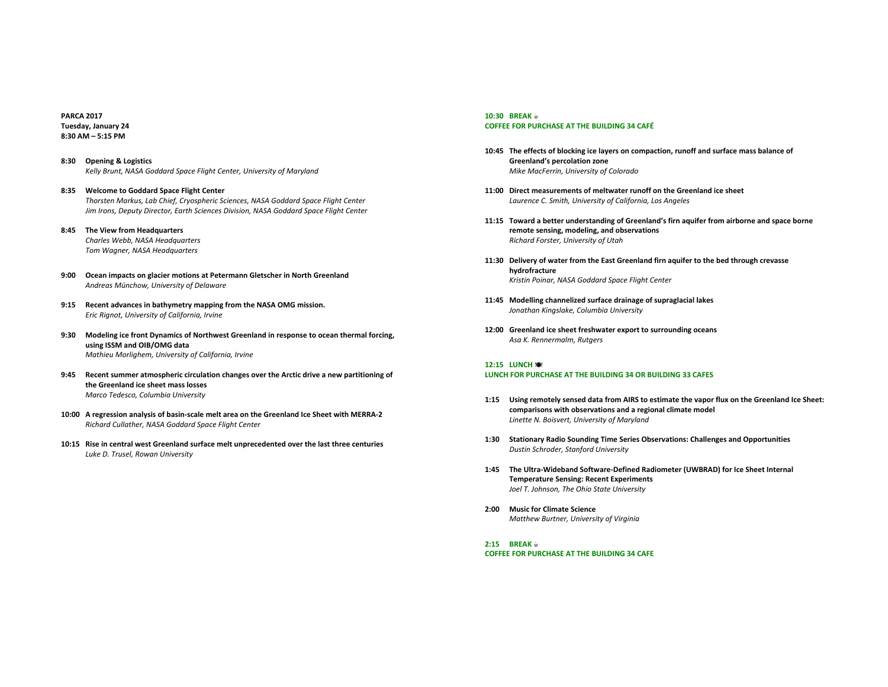**PARCA 2017 Tuesday, January 24 8:30 AM – 5:15 PM**

- **8:30 Opening & Logistics** Kelly Brunt, NASA Goddard Space Flight Center, University of Maryland
- 8:35 Welcome to Goddard Space Flight Center *Thorsten Markus, Lab Chief, Cryospheric Sciences, NASA Goddard Space Flight Center Jim Irons, Deputy Director, Earth Sciences Division, NASA Goddard Space Flight Center*
- **8:45 The View from Headquarters** *Charles Webb, NASA Headquarters*

*Tom Wagner, NASA Headquarters*

- 9:00 Ocean impacts on glacier motions at Petermann Gletscher in North Greenland *Andreas Münchow, University of Delaware*
- 9:15 Recent advances in bathymetry mapping from the NASA OMG mission. *Eric Rignot, University of California, Irvine*
- 9:30 Modeling ice front Dynamics of Northwest Greenland in response to ocean thermal forcing, **using ISSM and OIB/OMG data** *Mathieu Morlighem, University of California, Irvine*
- 9:45 Recent summer atmospheric circulation changes over the Arctic drive a new partitioning of **the Greenland ice sheet mass losses** *Marco Tedesco, Columbia University*
- 10:00 A regression analysis of basin-scale melt area on the Greenland Ice Sheet with MERRA-2 *Richard Cullather, NASA Goddard Space Flight Center*
- **10:15** Rise in central west Greenland surface melt unprecedented over the last three centuries *Luke D. Trusel, Rowan University*

## **10:30 BREAK ☕ COFFEE FOR PURCHASE AT THE BUILDING 34 CAFÉ**

- 10:45 The effects of blocking ice layers on compaction, runoff and surface mass balance of **Greenland's percolation zone** *Mike MacFerrin, University of Colorado*
- **11:00 Direct measurements of meltwater runoff on the Greenland ice sheet** *Laurence C. Smith, University of California, Los Angeles*
- **11:15** Toward a better understanding of Greenland's firn aquifer from airborne and space borne remote sensing, modeling, and observations *Richard Forster, University of Utah*
- **11:30 Delivery of water from the East Greenland firn aquifer to the bed through crevasse hydrofracture** *Kristin Poinar, NASA Goddard Space Flight Center*
- 11:45 Modelling channelized surface drainage of supraglacial lakes *Jonathan Kingslake, Columbia University*
- **12:00 Greenland ice sheet freshwater export to surrounding oceans** *Asa K. Rennermalm, Rutgers*

## **12:15 LUNCH** ä

## LUNCH FOR PURCHASE AT THE BUILDING 34 OR BUILDING 33 CAFES

- 1:15 Using remotely sensed data from AIRS to estimate the vapor flux on the Greenland Ice Sheet: **comparisons with observations and a regional climate model** *Linette N. Boisvert, University of Maryland*
- **1:30 Stationary Radio Sounding Time Series Observations: Challenges and Opportunities** *Dustin Schroder, Stanford University*
- 1:45 The Ultra-Wideband Software-Defined Radiometer (UWBRAD) for Ice Sheet Internal **Temperature Sensing: Recent Experiments** Joel T. Johnson, The Ohio State University
- **2:00 Music for Climate Science** *Matthew Burtner, University of Virginia*
- **2:15 BREAK ☕ COFFEE FOR PURCHASE AT THE BUILDING 34 CAFE**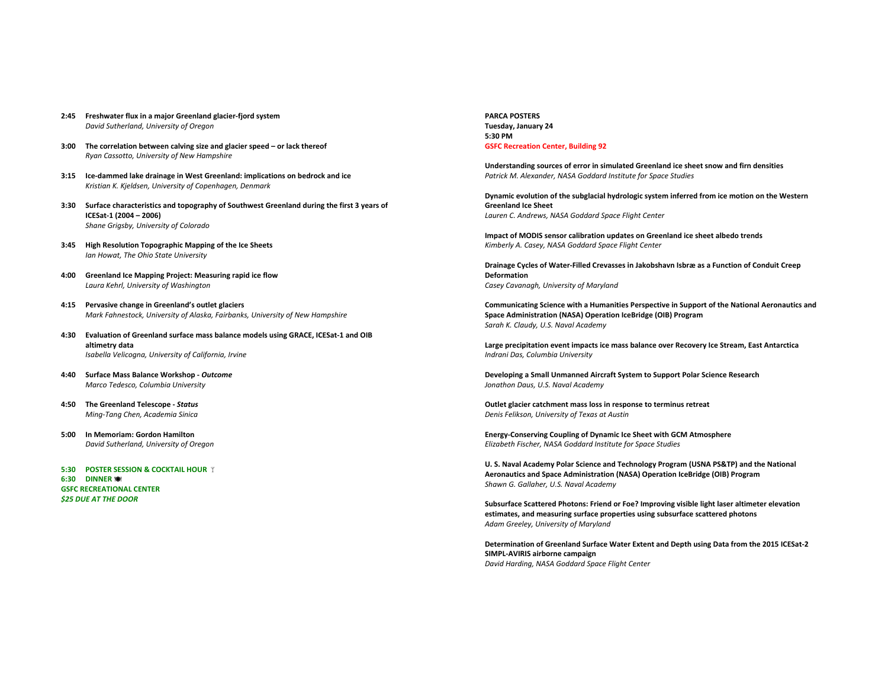- **2:45 Freshwater flux in a major Greenland glacier-fjord system** *David Sutherland, University of Oregon*
- **3:00** The correlation between calving size and glacier speed or lack thereof *Ryan Cassotto, University of New Hampshire*
- **3:15 Ice-dammed lake drainage in West Greenland: implications on bedrock and ice** *Kristian K. Kjeldsen, University of Copenhagen, Denmark*
- 3:30 Surface characteristics and topography of Southwest Greenland during the first 3 years of **ICESat-1 (2004 – 2006)** *Shane Grigsby, University of Colorado*
- **3:45 High Resolution Topographic Mapping of the Ice Sheets** *Ian Howat, The Ohio State University*
- 4:00 Greenland Ice Mapping Project: Measuring rapid ice flow *Laura Kehrl, University of Washington*
- 4:15 Pervasive change in Greenland's outlet glaciers *Mark Fahnestock, University of Alaska, Fairbanks, University of New Hampshire*
- 4:30 **Evaluation of Greenland surface mass balance models using GRACE, ICESat-1 and OIB altimetry data** *Isabella Velicogna, University of California, Irvine*
- **4:40 Surface Mass Balance Workshop -** *Outcome Marco Tedesco, Columbia University*
- **4:50 The Greenland Telescope -** *Status Ming-Tang Chen, Academia Sinica*
- **5:00 In Memoriam: Gordon Hamilton** *David Sutherland, University of Oregon*
- **5:30 POSTER SESSION & COCKTAIL HOUR T 6:30 DINNER** ä **GSFC RECREATIONAL CENTER \$25 DUE AT THE DOOR**

**PARCA POSTERS Tuesday, January 24 5:30 PM GSFC Recreation Center, Building 92** 

Understanding sources of error in simulated Greenland ice sheet snow and firn densities Patrick M. Alexander, NASA Goddard Institute for Space Studies

Dynamic evolution of the subglacial hydrologic system inferred from ice motion on the Western **Greenland Ice Sheet** *Lauren C. Andrews, NASA Goddard Space Flight Center*

**Impact of MODIS sensor calibration updates on Greenland ice sheet albedo trends** *Kimberly A. Casey, NASA Goddard Space Flight Center*

Drainage Cycles of Water-Filled Crevasses in Jakobshavn Isbræ as a Function of Conduit Creep **Deformation** *Casey Cavanagh, University of Maryland*

Communicating Science with a Humanities Perspective in Support of the National Aeronautics and **Space Administration (NASA) Operation IceBridge (OIB) Program** *Sarah K. Claudy, U.S. Naval Academy*

Large precipitation event impacts ice mass balance over Recovery Ice Stream, East Antarctica *Indrani Das, Columbia University*

**Developing a Small Unmanned Aircraft System to Support Polar Science Research** *Jonathon Daus, U.S. Naval Academy*

**Outlet glacier catchment mass loss in response to terminus retreat** *Denis Felikson, University of Texas at Austin*

**Energy-Conserving Coupling of Dynamic Ice Sheet with GCM Atmosphere** *Elizabeth Fischer, NASA Goddard Institute for Space Studies*

U. S. Naval Academy Polar Science and Technology Program (USNA PS&TP) and the National Aeronautics and Space Administration (NASA) Operation IceBridge (OIB) Program *Shawn G. Gallaher, U.S. Naval Academy*

Subsurface Scattered Photons: Friend or Foe? Improving visible light laser altimeter elevation estimates, and measuring surface properties using subsurface scattered photons *Adam Greeley, University of Maryland*

Determination of Greenland Surface Water Extent and Depth using Data from the 2015 ICESat-2 **SIMPL-AVIRIS** airborne campaign *David Harding, NASA Goddard Space Flight Center*